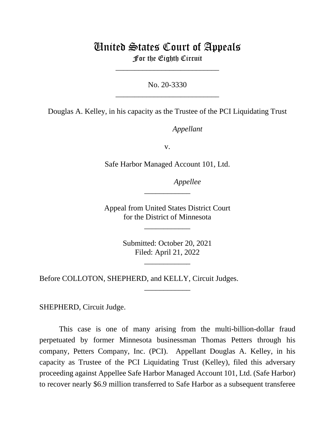## United States Court of Appeals

For the Eighth Circuit \_\_\_\_\_\_\_\_\_\_\_\_\_\_\_\_\_\_\_\_\_\_\_\_\_\_\_

No. 20-3330 \_\_\_\_\_\_\_\_\_\_\_\_\_\_\_\_\_\_\_\_\_\_\_\_\_\_\_

Douglas A. Kelley, in his capacity as the Trustee of the PCI Liquidating Trust

*Appellant*

v.

Safe Harbor Managed Account 101, Ltd.

*Appellee*

Appeal from United States District Court for the District of Minnesota

\_\_\_\_\_\_\_\_\_\_\_\_

\_\_\_\_\_\_\_\_\_\_\_\_

Submitted: October 20, 2021 Filed: April 21, 2022

\_\_\_\_\_\_\_\_\_\_\_\_

\_\_\_\_\_\_\_\_\_\_\_\_

Before COLLOTON, SHEPHERD, and KELLY, Circuit Judges.

SHEPHERD, Circuit Judge.

This case is one of many arising from the multi-billion-dollar fraud perpetuated by former Minnesota businessman Thomas Petters through his company, Petters Company, Inc. (PCI). Appellant Douglas A. Kelley, in his capacity as Trustee of the PCI Liquidating Trust (Kelley), filed this adversary proceeding against Appellee Safe Harbor Managed Account 101, Ltd. (Safe Harbor) to recover nearly \$6.9 million transferred to Safe Harbor as a subsequent transferee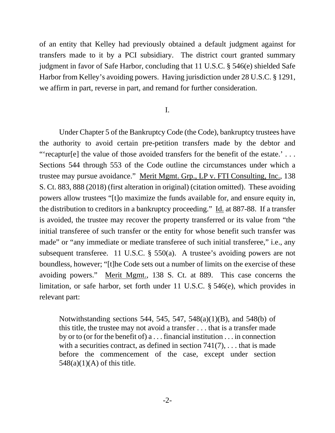of an entity that Kelley had previously obtained a default judgment against for transfers made to it by a PCI subsidiary. The district court granted summary judgment in favor of Safe Harbor, concluding that 11 U.S.C. § 546(e) shielded Safe Harbor from Kelley's avoiding powers. Having jurisdiction under 28 U.S.C. § 1291, we affirm in part, reverse in part, and remand for further consideration.

## I.

Under Chapter 5 of the Bankruptcy Code (the Code), bankruptcy trustees have the authority to avoid certain pre-petition transfers made by the debtor and "'recaptur[e] the value of those avoided transfers for the benefit of the estate.' . . . Sections 544 through 553 of the Code outline the circumstances under which a trustee may pursue avoidance." Merit Mgmt. Grp., LP v. FTI Consulting, Inc., 138 S. Ct. 883, 888 (2018) (first alteration in original) (citation omitted). These avoiding powers allow trustees "[t]o maximize the funds available for, and ensure equity in, the distribution to creditors in a bankruptcy proceeding." Id. at 887-88. If a transfer is avoided, the trustee may recover the property transferred or its value from "the initial transferee of such transfer or the entity for whose benefit such transfer was made" or "any immediate or mediate transferee of such initial transferee," i.e., any subsequent transferee. 11 U.S.C. § 550(a). A trustee's avoiding powers are not boundless, however; "[t]he Code sets out a number of limits on the exercise of these avoiding powers." Merit Mgmt., 138 S. Ct. at 889. This case concerns the limitation, or safe harbor, set forth under 11 U.S.C. § 546(e), which provides in relevant part:

Notwithstanding sections 544, 545, 547, 548(a)(1)(B), and 548(b) of this title, the trustee may not avoid a transfer . . . that is a transfer made by or to (or for the benefit of) a . . . financial institution . . . in connection with a securities contract, as defined in section  $741(7)$ , ... that is made before the commencement of the case, except under section  $548(a)(1)(A)$  of this title.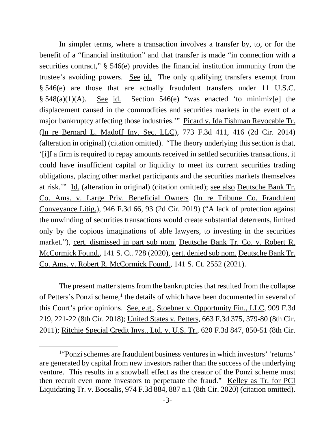In simpler terms, where a transaction involves a transfer by, to, or for the benefit of a "financial institution" and that transfer is made "in connection with a securities contract,"  $\S$  546(e) provides the financial institution immunity from the trustee's avoiding powers. See id. The only qualifying transfers exempt from § 546(e) are those that are actually fraudulent transfers under 11 U.S.C.  $§ 548(a)(1)(A)$ . See id. Section 546(e) "was enacted 'to minimiz[e] the displacement caused in the commodities and securities markets in the event of a major bankruptcy affecting those industries.'" Picard v. Ida Fishman Revocable Tr. (In re Bernard L. Madoff Inv. Sec. LLC), 773 F.3d 411, 416 (2d Cir. 2014) (alteration in original) (citation omitted). "The theory underlying this section is that, '[i]f a firm is required to repay amounts received in settled securities transactions, it could have insufficient capital or liquidity to meet its current securities trading obligations, placing other market participants and the securities markets themselves at risk.'" Id. (alteration in original) (citation omitted); see also Deutsche Bank Tr. Co. Ams. v. Large Priv. Beneficial Owners (In re Tribune Co. Fraudulent Conveyance Litig.), 946 F.3d 66, 93 (2d Cir. 2019) ("A lack of protection against the unwinding of securities transactions would create substantial deterrents, limited only by the copious imaginations of able lawyers, to investing in the securities market."), cert. dismissed in part sub nom. Deutsche Bank Tr. Co. v. Robert R. McCormick Found., 141 S. Ct. 728 (2020), cert. denied sub nom. Deutsche Bank Tr. Co. Ams. v. Robert R. McCormick Found., 141 S. Ct. 2552 (2021).

The present matter stems from the bankruptcies that resulted from the collapse of Petters's Ponzi scheme, [1](#page-2-0) the details of which have been documented in several of this Court's prior opinions. See, e.g., Stoebner v. Opportunity Fin., LLC, 909 F.3d 219, 221-22 (8th Cir. 2018); United States v. Petters, 663 F.3d 375, 379-80 (8th Cir. 2011); Ritchie Special Credit Invs., Ltd. v. U.S. Tr., 620 F.3d 847, 850-51 (8th Cir.

<span id="page-2-0"></span><sup>1</sup> "Ponzi schemes are fraudulent business ventures in which investors' 'returns' are generated by capital from new investors rather than the success of the underlying venture. This results in a snowball effect as the creator of the Ponzi scheme must then recruit even more investors to perpetuate the fraud." Kelley as Tr. for PCI Liquidating Tr. v. Boosalis, 974 F.3d 884, 887 n.1 (8th Cir. 2020) (citation omitted).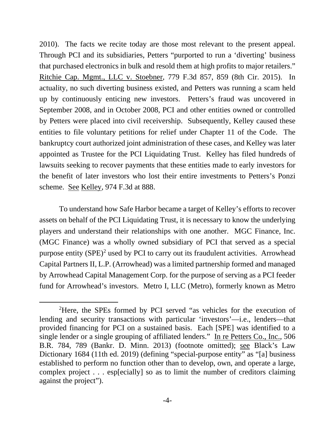2010). The facts we recite today are those most relevant to the present appeal. Through PCI and its subsidiaries, Petters "purported to run a 'diverting' business that purchased electronics in bulk and resold them at high profits to major retailers." Ritchie Cap. Mgmt., LLC v. Stoebner, 779 F.3d 857, 859 (8th Cir. 2015). In actuality, no such diverting business existed, and Petters was running a scam held up by continuously enticing new investors. Petters's fraud was uncovered in September 2008, and in October 2008, PCI and other entities owned or controlled by Petters were placed into civil receivership. Subsequently, Kelley caused these entities to file voluntary petitions for relief under Chapter 11 of the Code. The bankruptcy court authorized joint administration of these cases, and Kelley was later appointed as Trustee for the PCI Liquidating Trust. Kelley has filed hundreds of lawsuits seeking to recover payments that these entities made to early investors for the benefit of later investors who lost their entire investments to Petters's Ponzi scheme. See Kelley, 974 F.3d at 888.

To understand how Safe Harbor became a target of Kelley's efforts to recover assets on behalf of the PCI Liquidating Trust, it is necessary to know the underlying players and understand their relationships with one another. MGC Finance, Inc. (MGC Finance) was a wholly owned subsidiary of PCI that served as a special purpose entity  $(SPE)^2$  used by PCI to carry out its fraudulent activities. Arrowhead Capital Partners II, L.P. (Arrowhead) was a limited partnership formed and managed by Arrowhead Capital Management Corp. for the purpose of serving as a PCI feeder fund for Arrowhead's investors. Metro I, LLC (Metro), formerly known as Metro

<span id="page-3-0"></span><sup>&</sup>lt;sup>2</sup>Here, the SPEs formed by PCI served "as vehicles for the execution of lending and security transactions with particular 'investors'—i.e., lenders—that provided financing for PCI on a sustained basis. Each [SPE] was identified to a single lender or a single grouping of affiliated lenders." In re Petters Co., Inc., 506 B.R. 784, 789 (Bankr. D. Minn. 2013) (footnote omitted); see Black's Law Dictionary 1684 (11th ed. 2019) (defining "special-purpose entity" as "[a] business established to perform no function other than to develop, own, and operate a large, complex project . . . esp[ecially] so as to limit the number of creditors claiming against the project").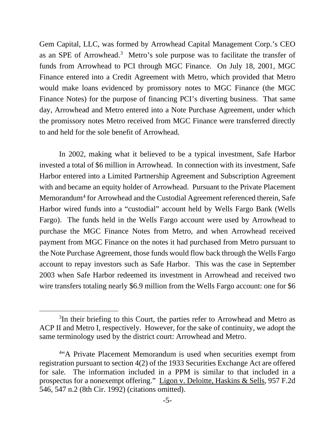Gem Capital, LLC, was formed by Arrowhead Capital Management Corp.'s CEO as an SPE of Arrowhead.<sup>[3](#page-4-0)</sup> Metro's sole purpose was to facilitate the transfer of funds from Arrowhead to PCI through MGC Finance. On July 18, 2001, MGC Finance entered into a Credit Agreement with Metro, which provided that Metro would make loans evidenced by promissory notes to MGC Finance (the MGC Finance Notes) for the purpose of financing PCI's diverting business. That same day, Arrowhead and Metro entered into a Note Purchase Agreement, under which the promissory notes Metro received from MGC Finance were transferred directly to and held for the sole benefit of Arrowhead.

In 2002, making what it believed to be a typical investment, Safe Harbor invested a total of \$6 million in Arrowhead. In connection with its investment, Safe Harbor entered into a Limited Partnership Agreement and Subscription Agreement with and became an equity holder of Arrowhead. Pursuant to the Private Placement Memorandum<sup>[4](#page-4-1)</sup> for Arrowhead and the Custodial Agreement referenced therein, Safe Harbor wired funds into a "custodial" account held by Wells Fargo Bank (Wells Fargo). The funds held in the Wells Fargo account were used by Arrowhead to purchase the MGC Finance Notes from Metro, and when Arrowhead received payment from MGC Finance on the notes it had purchased from Metro pursuant to the Note Purchase Agreement, those funds would flow back through the Wells Fargo account to repay investors such as Safe Harbor. This was the case in September 2003 when Safe Harbor redeemed its investment in Arrowhead and received two wire transfers totaling nearly \$6.9 million from the Wells Fargo account: one for \$6

<span id="page-4-0"></span><sup>&</sup>lt;sup>3</sup>In their briefing to this Court, the parties refer to Arrowhead and Metro as ACP II and Metro I, respectively. However, for the sake of continuity, we adopt the same terminology used by the district court: Arrowhead and Metro.

<span id="page-4-1"></span><sup>&</sup>lt;sup>4"</sup>A Private Placement Memorandum is used when securities exempt from registration pursuant to section 4(2) of the 1933 Securities Exchange Act are offered for sale. The information included in a PPM is similar to that included in a prospectus for a nonexempt offering." Ligon v. Deloitte, Haskins & Sells, 957 F.2d 546, 547 n.2 (8th Cir. 1992) (citations omitted).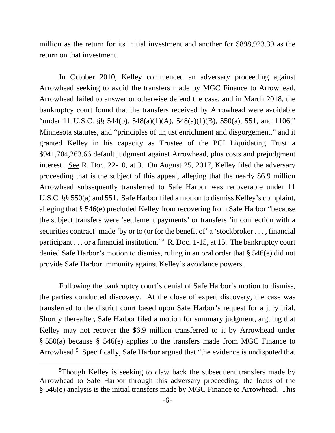million as the return for its initial investment and another for \$898,923.39 as the return on that investment.

In October 2010, Kelley commenced an adversary proceeding against Arrowhead seeking to avoid the transfers made by MGC Finance to Arrowhead. Arrowhead failed to answer or otherwise defend the case, and in March 2018, the bankruptcy court found that the transfers received by Arrowhead were avoidable "under 11 U.S.C. §§ 544(b), 548(a)(1)(A), 548(a)(1)(B), 550(a), 551, and 1106," Minnesota statutes, and "principles of unjust enrichment and disgorgement," and it granted Kelley in his capacity as Trustee of the PCI Liquidating Trust a \$941,704,263.66 default judgment against Arrowhead, plus costs and prejudgment interest. See R. Doc. 22-10, at 3. On August 25, 2017, Kelley filed the adversary proceeding that is the subject of this appeal, alleging that the nearly \$6.9 million Arrowhead subsequently transferred to Safe Harbor was recoverable under 11 U.S.C. §§ 550(a) and 551. Safe Harbor filed a motion to dismiss Kelley's complaint, alleging that § 546(e) precluded Kelley from recovering from Safe Harbor "because the subject transfers were 'settlement payments' or transfers 'in connection with a securities contract' made 'by or to (or for the benefit of' a 'stockbroker . . . , financial participant . . . or a financial institution.'" R. Doc. 1-15, at 15. The bankruptcy court denied Safe Harbor's motion to dismiss, ruling in an oral order that § 546(e) did not provide Safe Harbor immunity against Kelley's avoidance powers.

Following the bankruptcy court's denial of Safe Harbor's motion to dismiss, the parties conducted discovery. At the close of expert discovery, the case was transferred to the district court based upon Safe Harbor's request for a jury trial. Shortly thereafter, Safe Harbor filed a motion for summary judgment, arguing that Kelley may not recover the \$6.9 million transferred to it by Arrowhead under § 550(a) because § 546(e) applies to the transfers made from MGC Finance to Arrowhead.<sup>[5](#page-5-0)</sup> Specifically, Safe Harbor argued that "the evidence is undisputed that

<span id="page-5-0"></span><sup>5</sup> Though Kelley is seeking to claw back the subsequent transfers made by Arrowhead to Safe Harbor through this adversary proceeding, the focus of the § 546(e) analysis is the initial transfers made by MGC Finance to Arrowhead. This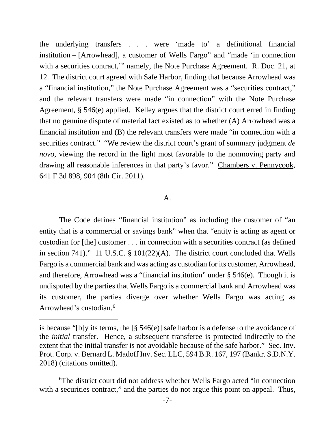the underlying transfers . . . were 'made to' a definitional financial institution – [Arrowhead], a customer of Wells Fargo" and "made 'in connection with a securities contract," namely, the Note Purchase Agreement. R. Doc. 21, at 12. The district court agreed with Safe Harbor, finding that because Arrowhead was a "financial institution," the Note Purchase Agreement was a "securities contract," and the relevant transfers were made "in connection" with the Note Purchase Agreement, § 546(e) applied. Kelley argues that the district court erred in finding that no genuine dispute of material fact existed as to whether (A) Arrowhead was a financial institution and (B) the relevant transfers were made "in connection with a securities contract." "We review the district court's grant of summary judgment *de novo*, viewing the record in the light most favorable to the nonmoving party and drawing all reasonable inferences in that party's favor." Chambers v. Pennycook, 641 F.3d 898, 904 (8th Cir. 2011).

## A.

The Code defines "financial institution" as including the customer of "an entity that is a commercial or savings bank" when that "entity is acting as agent or custodian for [the] customer . . . in connection with a securities contract (as defined in section 741)." 11 U.S.C. § 101(22)(A). The district court concluded that Wells Fargo is a commercial bank and was acting as custodian for its customer, Arrowhead, and therefore, Arrowhead was a "financial institution" under § 546(e). Though it is undisputed by the parties that Wells Fargo is a commercial bank and Arrowhead was its customer, the parties diverge over whether Wells Fargo was acting as Arrowhead's custodian. [6](#page-6-0)

is because "[b]y its terms, the [§ 546(e)] safe harbor is a defense to the avoidance of the *initial* transfer. Hence, a subsequent transferee is protected indirectly to the extent that the initial transfer is not avoidable because of the safe harbor." Sec. Inv. Prot. Corp. v. Bernard L. Madoff Inv. Sec. LLC, 594 B.R. 167, 197 (Bankr. S.D.N.Y. 2018) (citations omitted).

<span id="page-6-0"></span><sup>6</sup> The district court did not address whether Wells Fargo acted "in connection with a securities contract," and the parties do not argue this point on appeal. Thus,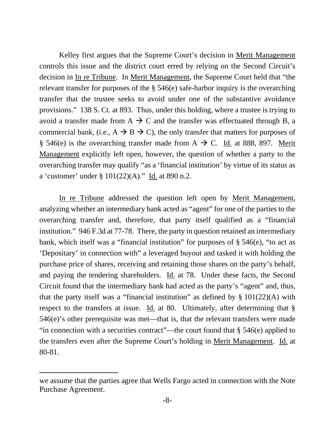Kelley first argues that the Supreme Court's decision in Merit Management controls this issue and the district court erred by relying on the Second Circuit's decision in In re Tribune. In Merit Management, the Supreme Court held that "the relevant transfer for purposes of the § 546(e) safe-harbor inquiry is the overarching transfer that the trustee seeks to avoid under one of the substantive avoidance provisions." 138 S. Ct. at 893. Thus, under this holding, where a trustee is trying to avoid a transfer made from  $A \rightarrow C$  and the transfer was effectuated through B, a commercial bank, (i.e.,  $A \rightarrow B \rightarrow C$ ), the only transfer that matters for purposes of § 546(e) is the overarching transfer made from  $A \rightarrow C$ . Id. at 888, 897. Merit Management explicitly left open, however, the question of whether a party to the overarching transfer may qualify "as a 'financial institution' by virtue of its status as a 'customer' under § 101(22)(A)." Id. at 890 n.2.

In re Tribune addressed the question left open by Merit Management, analyzing whether an intermediary bank acted as "agent" for one of the parties to the overarching transfer and, therefore, that party itself qualified as a "financial institution." 946 F.3d at 77-78. There, the party in question retained an intermediary bank, which itself was a "financial institution" for purposes of § 546(e), "to act as 'Depositary' in connection with" a leveraged buyout and tasked it with holding the purchase price of shares, receiving and retaining those shares on the party's behalf, and paying the tendering shareholders. Id. at 78. Under these facts, the Second Circuit found that the intermediary bank had acted as the party's "agent" and, thus, that the party itself was a "financial institution" as defined by  $\S 101(22)(A)$  with respect to the transfers at issue. Id. at 80. Ultimately, after determining that § 546(e)'s other prerequisite was met—that is, that the relevant transfers were made "in connection with a securities contract"—the court found that § 546(e) applied to the transfers even after the Supreme Court's holding in Merit Management. Id. at 80-81.

we assume that the parties agree that Wells Fargo acted in connection with the Note Purchase Agreement.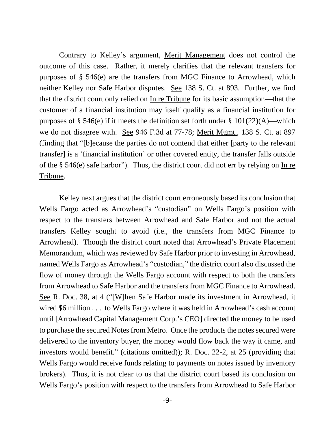Contrary to Kelley's argument, Merit Management does not control the outcome of this case. Rather, it merely clarifies that the relevant transfers for purposes of § 546(e) are the transfers from MGC Finance to Arrowhead, which neither Kelley nor Safe Harbor disputes. See 138 S. Ct. at 893. Further, we find that the district court only relied on In re Tribune for its basic assumption—that the customer of a financial institution may itself qualify as a financial institution for purposes of § 546(e) if it meets the definition set forth under §  $101(22)(A)$ —which we do not disagree with. See 946 F.3d at 77-78; Merit Mgmt., 138 S. Ct. at 897 (finding that "[b]ecause the parties do not contend that either [party to the relevant transfer] is a 'financial institution' or other covered entity, the transfer falls outside of the § 546(e) safe harbor"). Thus, the district court did not err by relying on In re Tribune.

Kelley next argues that the district court erroneously based its conclusion that Wells Fargo acted as Arrowhead's "custodian" on Wells Fargo's position with respect to the transfers between Arrowhead and Safe Harbor and not the actual transfers Kelley sought to avoid (i.e., the transfers from MGC Finance to Arrowhead). Though the district court noted that Arrowhead's Private Placement Memorandum, which was reviewed by Safe Harbor prior to investing in Arrowhead, named Wells Fargo as Arrowhead's "custodian," the district court also discussed the flow of money through the Wells Fargo account with respect to both the transfers from Arrowhead to Safe Harbor and the transfers from MGC Finance to Arrowhead. See R. Doc. 38, at 4 ("[W]hen Safe Harbor made its investment in Arrowhead, it wired \$6 million . . . to Wells Fargo where it was held in Arrowhead's cash account until [Arrowhead Capital Management Corp.'s CEO] directed the money to be used to purchase the secured Notes from Metro. Once the products the notes secured were delivered to the inventory buyer, the money would flow back the way it came, and investors would benefit." (citations omitted)); R. Doc. 22-2, at 25 (providing that Wells Fargo would receive funds relating to payments on notes issued by inventory brokers). Thus, it is not clear to us that the district court based its conclusion on Wells Fargo's position with respect to the transfers from Arrowhead to Safe Harbor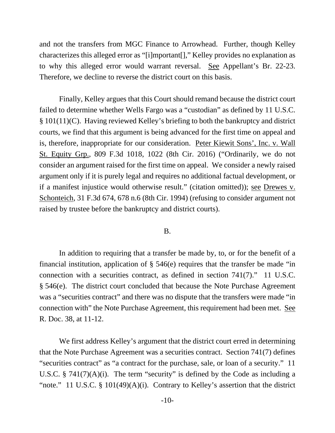and not the transfers from MGC Finance to Arrowhead. Further, though Kelley characterizes this alleged error as "[i]mportant[]," Kelley provides no explanation as to why this alleged error would warrant reversal. See Appellant's Br. 22-23. Therefore, we decline to reverse the district court on this basis.

Finally, Kelley argues that this Court should remand because the district court failed to determine whether Wells Fargo was a "custodian" as defined by 11 U.S.C. § 101(11)(C). Having reviewed Kelley's briefing to both the bankruptcy and district courts, we find that this argument is being advanced for the first time on appeal and is, therefore, inappropriate for our consideration. Peter Kiewit Sons', Inc. v. Wall St. Equity Grp., 809 F.3d 1018, 1022 (8th Cir. 2016) ("Ordinarily, we do not consider an argument raised for the first time on appeal. We consider a newly raised argument only if it is purely legal and requires no additional factual development, or if a manifest injustice would otherwise result." (citation omitted)); see Drewes v. Schonteich, 31 F.3d 674, 678 n.6 (8th Cir. 1994) (refusing to consider argument not raised by trustee before the bankruptcy and district courts).

## B.

In addition to requiring that a transfer be made by, to, or for the benefit of a financial institution, application of  $\S$  546(e) requires that the transfer be made "in connection with a securities contract, as defined in section 741(7)." 11 U.S.C. § 546(e). The district court concluded that because the Note Purchase Agreement was a "securities contract" and there was no dispute that the transfers were made "in connection with" the Note Purchase Agreement, this requirement had been met. See R. Doc. 38, at 11-12.

We first address Kelley's argument that the district court erred in determining that the Note Purchase Agreement was a securities contract. Section 741(7) defines "securities contract" as "a contract for the purchase, sale, or loan of a security." 11 U.S.C.  $\S$  741(7)(A)(i). The term "security" is defined by the Code as including a "note." 11 U.S.C.  $\S$  101(49)(A)(i). Contrary to Kelley's assertion that the district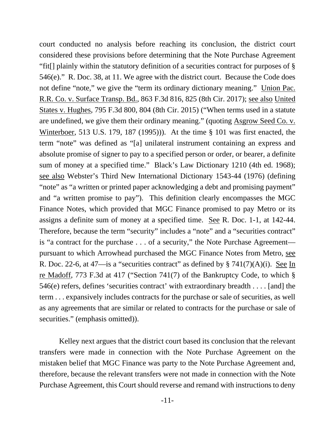court conducted no analysis before reaching its conclusion, the district court considered these provisions before determining that the Note Purchase Agreement "fit[] plainly within the statutory definition of a securities contract for purposes of § 546(e)." R. Doc. 38, at 11. We agree with the district court. Because the Code does not define "note," we give the "term its ordinary dictionary meaning." Union Pac. R.R. Co. v. Surface Transp. Bd., 863 F.3d 816, 825 (8th Cir. 2017); see also United States v. Hughes, 795 F.3d 800, 804 (8th Cir. 2015) ("When terms used in a statute are undefined, we give them their ordinary meaning." (quoting Asgrow Seed Co. v. Winterboer, 513 U.S. 179, 187 (1995))). At the time § 101 was first enacted, the term "note" was defined as "[a] unilateral instrument containing an express and absolute promise of signer to pay to a specified person or order, or bearer, a definite sum of money at a specified time." Black's Law Dictionary 1210 (4th ed. 1968); see also Webster's Third New International Dictionary 1543-44 (1976) (defining "note" as "a written or printed paper acknowledging a debt and promising payment" and "a written promise to pay"). This definition clearly encompasses the MGC Finance Notes, which provided that MGC Finance promised to pay Metro or its assigns a definite sum of money at a specified time. See R. Doc. 1-1, at 142-44. Therefore, because the term "security" includes a "note" and a "securities contract" is "a contract for the purchase . . . of a security," the Note Purchase Agreement pursuant to which Arrowhead purchased the MGC Finance Notes from Metro, see R. Doc. 22-6, at 47—is a "securities contract" as defined by § 741(7)(A)(i). See In re Madoff, 773 F.3d at 417 ("Section 741(7) of the Bankruptcy Code, to which § 546(e) refers, defines 'securities contract' with extraordinary breadth . . . . [and] the term . . . expansively includes contracts for the purchase or sale of securities, as well as any agreements that are similar or related to contracts for the purchase or sale of securities." (emphasis omitted)).

Kelley next argues that the district court based its conclusion that the relevant transfers were made in connection with the Note Purchase Agreement on the mistaken belief that MGC Finance was party to the Note Purchase Agreement and, therefore, because the relevant transfers were not made in connection with the Note Purchase Agreement, this Court should reverse and remand with instructions to deny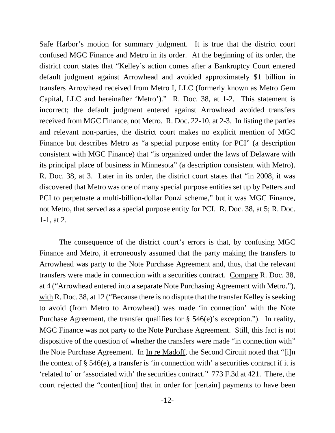Safe Harbor's motion for summary judgment. It is true that the district court confused MGC Finance and Metro in its order. At the beginning of its order, the district court states that "Kelley's action comes after a Bankruptcy Court entered default judgment against Arrowhead and avoided approximately \$1 billion in transfers Arrowhead received from Metro I, LLC (formerly known as Metro Gem Capital, LLC and hereinafter 'Metro')." R. Doc. 38, at 1-2. This statement is incorrect; the default judgment entered against Arrowhead avoided transfers received from MGC Finance, not Metro. R. Doc. 22-10, at 2-3. In listing the parties and relevant non-parties, the district court makes no explicit mention of MGC Finance but describes Metro as "a special purpose entity for PCI" (a description consistent with MGC Finance) that "is organized under the laws of Delaware with its principal place of business in Minnesota" (a description consistent with Metro). R. Doc. 38, at 3. Later in its order, the district court states that "in 2008, it was discovered that Metro was one of many special purpose entities set up by Petters and PCI to perpetuate a multi-billion-dollar Ponzi scheme," but it was MGC Finance, not Metro, that served as a special purpose entity for PCI. R. Doc. 38, at 5; R. Doc. 1-1, at 2.

The consequence of the district court's errors is that, by confusing MGC Finance and Metro, it erroneously assumed that the party making the transfers to Arrowhead was party to the Note Purchase Agreement and, thus, that the relevant transfers were made in connection with a securities contract. Compare R. Doc. 38, at 4 ("Arrowhead entered into a separate Note Purchasing Agreement with Metro."), with R. Doc. 38, at 12 ("Because there is no dispute that the transfer Kelley is seeking to avoid (from Metro to Arrowhead) was made 'in connection' with the Note Purchase Agreement, the transfer qualifies for  $\S$  546(e)'s exception."). In reality, MGC Finance was not party to the Note Purchase Agreement. Still, this fact is not dispositive of the question of whether the transfers were made "in connection with" the Note Purchase Agreement. In In re Madoff, the Second Circuit noted that "[i]n the context of  $\S$  546(e), a transfer is 'in connection with' a securities contract if it is 'related to' or 'associated with' the securities contract." 773 F.3d at 421. There, the court rejected the "conten[tion] that in order for [certain] payments to have been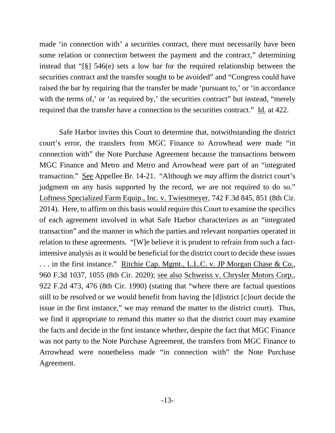made 'in connection with' a securities contract, there must necessarily have been some relation or connection between the payment and the contract," determining instead that "[§] 546(e) sets a low bar for the required relationship between the securities contract and the transfer sought to be avoided" and "Congress could have raised the bar by requiring that the transfer be made 'pursuant to,' or 'in accordance with the terms of,' or 'as required by,' the securities contract'' but instead, "merely required that the transfer have a connection to the securities contract." Id. at 422.

Safe Harbor invites this Court to determine that, notwithstanding the district court's error, the transfers from MGC Finance to Arrowhead were made "in connection with" the Note Purchase Agreement because the transactions between MGC Finance and Metro and Metro and Arrowhead were part of an "integrated transaction." See Appellee Br. 14-21. "Although we *may* affirm the district court's judgment on any basis supported by the record, we are not required to do so." Loftness Specialized Farm Equip., Inc. v. Twiestmeyer, 742 F.3d 845, 851 (8th Cir. 2014). Here, to affirm on this basis would require this Court to examine the specifics of each agreement involved in what Safe Harbor characterizes as an "integrated transaction" and the manner in which the parties and relevant nonparties operated in relation to these agreements. "[W]e believe it is prudent to refrain from such a factintensive analysis as it would be beneficial for the district court to decide these issues . . . in the first instance." Ritchie Cap. Mgmt., L.L.C. v. JP Morgan Chase & Co., 960 F.3d 1037, 1055 (8th Cir. 2020); see also Schweiss v. Chrysler Motors Corp., 922 F.2d 473, 476 (8th Cir. 1990) (stating that "where there are factual questions still to be resolved or we would benefit from having the [d]istrict [c]ourt decide the issue in the first instance," we may remand the matter to the district court). Thus, we find it appropriate to remand this matter so that the district court may examine the facts and decide in the first instance whether, despite the fact that MGC Finance was not party to the Note Purchase Agreement, the transfers from MGC Finance to Arrowhead were nonetheless made "in connection with" the Note Purchase Agreement.